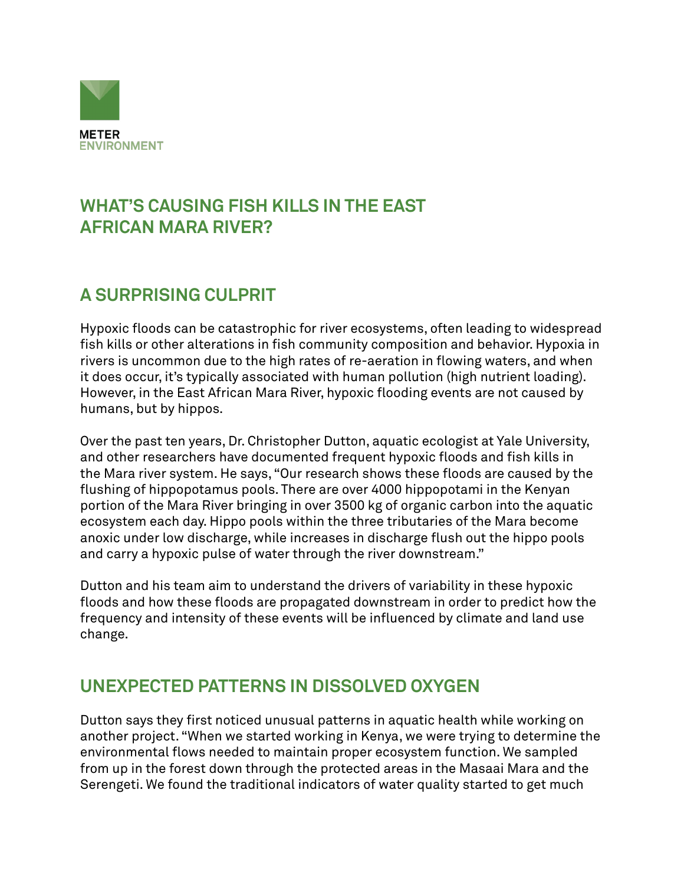

## **WHAT'S CAUSING FISH KILLS IN THE EAST AFRICAN MARA RIVER?**

# **A SURPRISING CULPRIT**

Hypoxic floods can be catastrophic for river ecosystems, often leading to widespread fish kills or other alterations in fish community composition and behavior. Hypoxia in rivers is uncommon due to the high rates of re-aeration in flowing waters, and when it does occur, it's typically associated with human pollution (high nutrient loading). However, in the East African Mara River, hypoxic flooding events are not caused by humans, but by hippos.

Over the past ten years, Dr. Christopher Dutton, aquatic ecologist at Yale University, and other researchers have documented frequent hypoxic floods and fish kills in the Mara river system. He says, "Our research shows these floods are caused by the flushing of hippopotamus pools. There are over 4000 hippopotami in the Kenyan portion of the Mara River bringing in over 3500 kg of organic carbon into the aquatic ecosystem each day. Hippo pools within the three tributaries of the Mara become anoxic under low discharge, while increases in discharge flush out the hippo pools and carry a hypoxic pulse of water through the river downstream."

Dutton and his team aim to understand the drivers of variability in these hypoxic floods and how these floods are propagated downstream in order to predict how the frequency and intensity of these events will be influenced by climate and land use change.

#### **UNEXPECTED PATTERNS IN DISSOLVED OXYGEN**

Dutton says they first noticed unusual patterns in aquatic health while working on another project. "When we started working in Kenya, we were trying to determine the environmental flows needed to maintain proper ecosystem function. We sampled from up in the forest down through the protected areas in the Masaai Mara and the Serengeti. We found the traditional indicators of water quality started to get much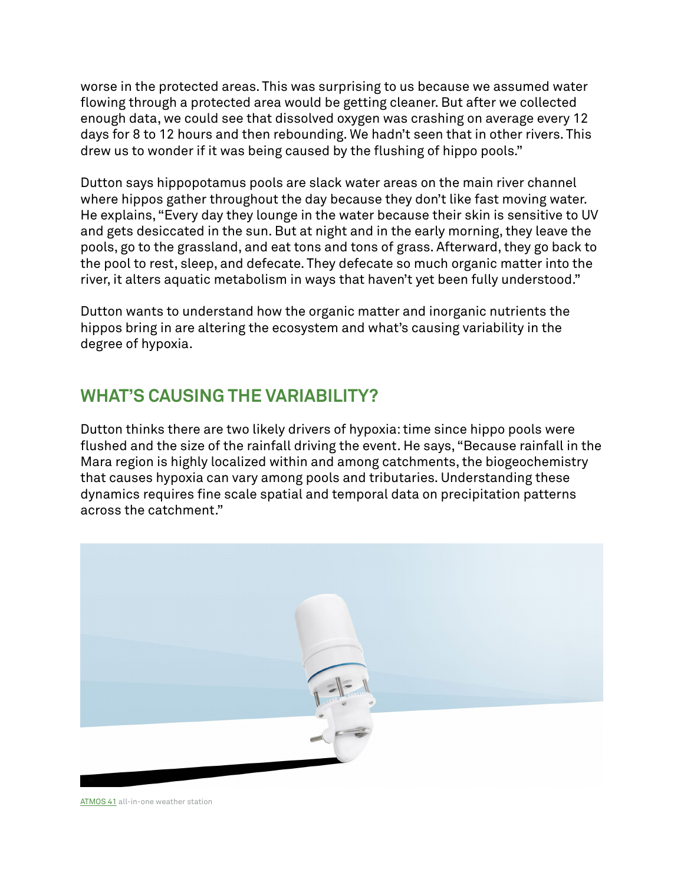worse in the protected areas. This was surprising to us because we assumed water flowing through a protected area would be getting cleaner. But after we collected enough data, we could see that dissolved oxygen was crashing on average every 12 days for 8 to 12 hours and then rebounding. We hadn't seen that in other rivers. This drew us to wonder if it was being caused by the flushing of hippo pools."

Dutton says hippopotamus pools are slack water areas on the main river channel where hippos gather throughout the day because they don't like fast moving water. He explains, "Every day they lounge in the water because their skin is sensitive to UV and gets desiccated in the sun. But at night and in the early morning, they leave the pools, go to the grassland, and eat tons and tons of grass. Afterward, they go back to the pool to rest, sleep, and defecate. They defecate so much organic matter into the river, it alters aquatic metabolism in ways that haven't yet been fully understood."

Dutton wants to understand how the organic matter and inorganic nutrients the hippos bring in are altering the ecosystem and what's causing variability in the degree of hypoxia.

### **WHAT'S CAUSING THE VARIABILITY?**

Dutton thinks there are two likely drivers of hypoxia: time since hippo pools were flushed and the size of the rainfall driving the event. He says, "Because rainfall in the Mara region is highly localized within and among catchments, the biogeochemistry that causes hypoxia can vary among pools and tributaries. Understanding these dynamics requires fine scale spatial and temporal data on precipitation patterns across the catchment."



[ATMOS 41](https://www.metergroup.com/meter_products/atmos-41-weather-station/) all-in-one weather station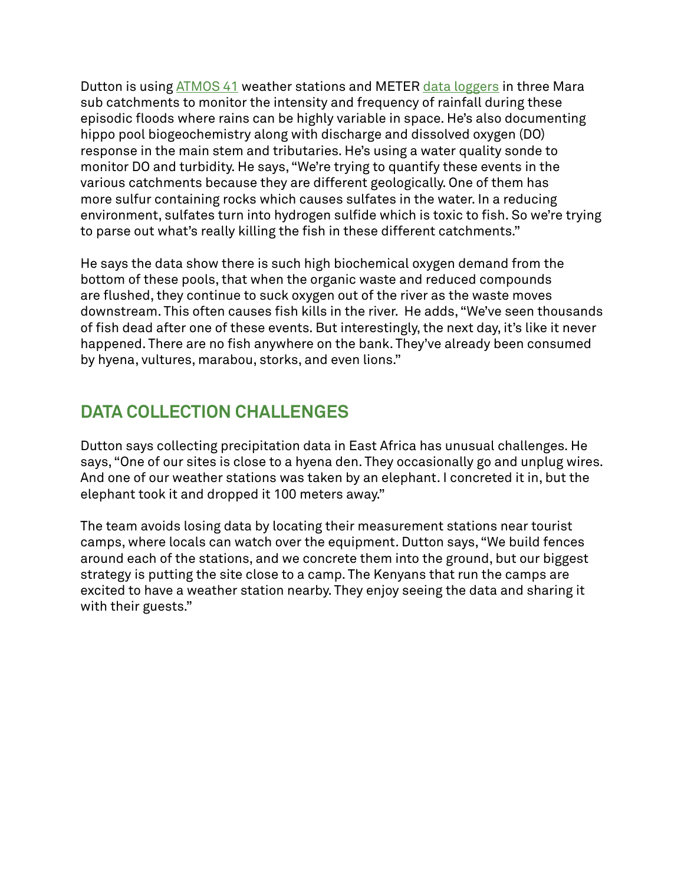Dutton is using [ATMOS 41](https://www.metergroup.com/meter_products/atmos-41-weather-station/) weather stations and METER [data loggers](https://www.metergroup.com/meter_products/zl6-data-logger/) in three Mara sub catchments to monitor the intensity and frequency of rainfall during these episodic floods where rains can be highly variable in space. He's also documenting hippo pool biogeochemistry along with discharge and dissolved oxygen (DO) response in the main stem and tributaries. He's using a water quality sonde to monitor DO and turbidity. He says, "We're trying to quantify these events in the various catchments because they are different geologically. One of them has more sulfur containing rocks which causes sulfates in the water. In a reducing environment, sulfates turn into hydrogen sulfide which is toxic to fish. So we're trying to parse out what's really killing the fish in these different catchments."

He says the data show there is such high biochemical oxygen demand from the bottom of these pools, that when the organic waste and reduced compounds are flushed, they continue to suck oxygen out of the river as the waste moves downstream. This often causes fish kills in the river. He adds, "We've seen thousands of fish dead after one of these events. But interestingly, the next day, it's like it never happened. There are no fish anywhere on the bank. They've already been consumed by hyena, vultures, marabou, storks, and even lions."

# **DATA COLLECTION CHALLENGES**

Dutton says collecting precipitation data in East Africa has unusual challenges. He says, "One of our sites is close to a hyena den. They occasionally go and unplug wires. And one of our weather stations was taken by an elephant. I concreted it in, but the elephant took it and dropped it 100 meters away."

The team avoids losing data by locating their measurement stations near tourist camps, where locals can watch over the equipment. Dutton says, "We build fences around each of the stations, and we concrete them into the ground, but our biggest strategy is putting the site close to a camp. The Kenyans that run the camps are excited to have a weather station nearby. They enjoy seeing the data and sharing it with their guests."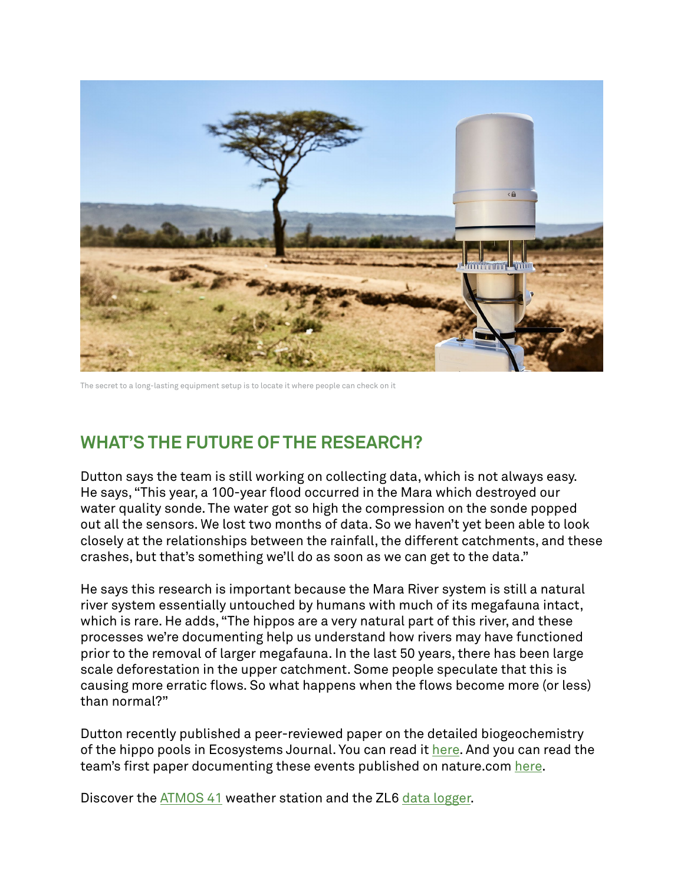

The secret to a long-lasting equipment setup is to locate it where people can check on it

# **WHAT'S THE FUTURE OF THE RESEARCH?**

Dutton says the team is still working on collecting data, which is not always easy. He says, "This year, a 100-year flood occurred in the Mara which destroyed our water quality sonde. The water got so high the compression on the sonde popped out all the sensors. We lost two months of data. So we haven't yet been able to look closely at the relationships between the rainfall, the different catchments, and these crashes, but that's something we'll do as soon as we can get to the data."

He says this research is important because the Mara River system is still a natural river system essentially untouched by humans with much of its megafauna intact, which is rare. He adds, "The hippos are a very natural part of this river, and these processes we're documenting help us understand how rivers may have functioned prior to the removal of larger megafauna. In the last 50 years, there has been large scale deforestation in the upper catchment. Some people speculate that this is causing more erratic flows. So what happens when the flows become more (or less) than normal?"

Dutton recently published a peer-reviewed paper on the detailed biogeochemistry of the hippo pools in Ecosystems Journal. You can read it [here](https://link.springer.com/article/10.1007/s10021-020-00518-3). And you can read the team's first paper documenting these events published on nature.com [here](https://www.nature.com/articles/s41467-018-04391-6).

Discover the [ATMOS 41](https://www.metergroup.com/meter_products/atmos-41-weather-station/) weather station and the ZL6 [data logger](https://www.metergroup.com/meter_products/zl6/).